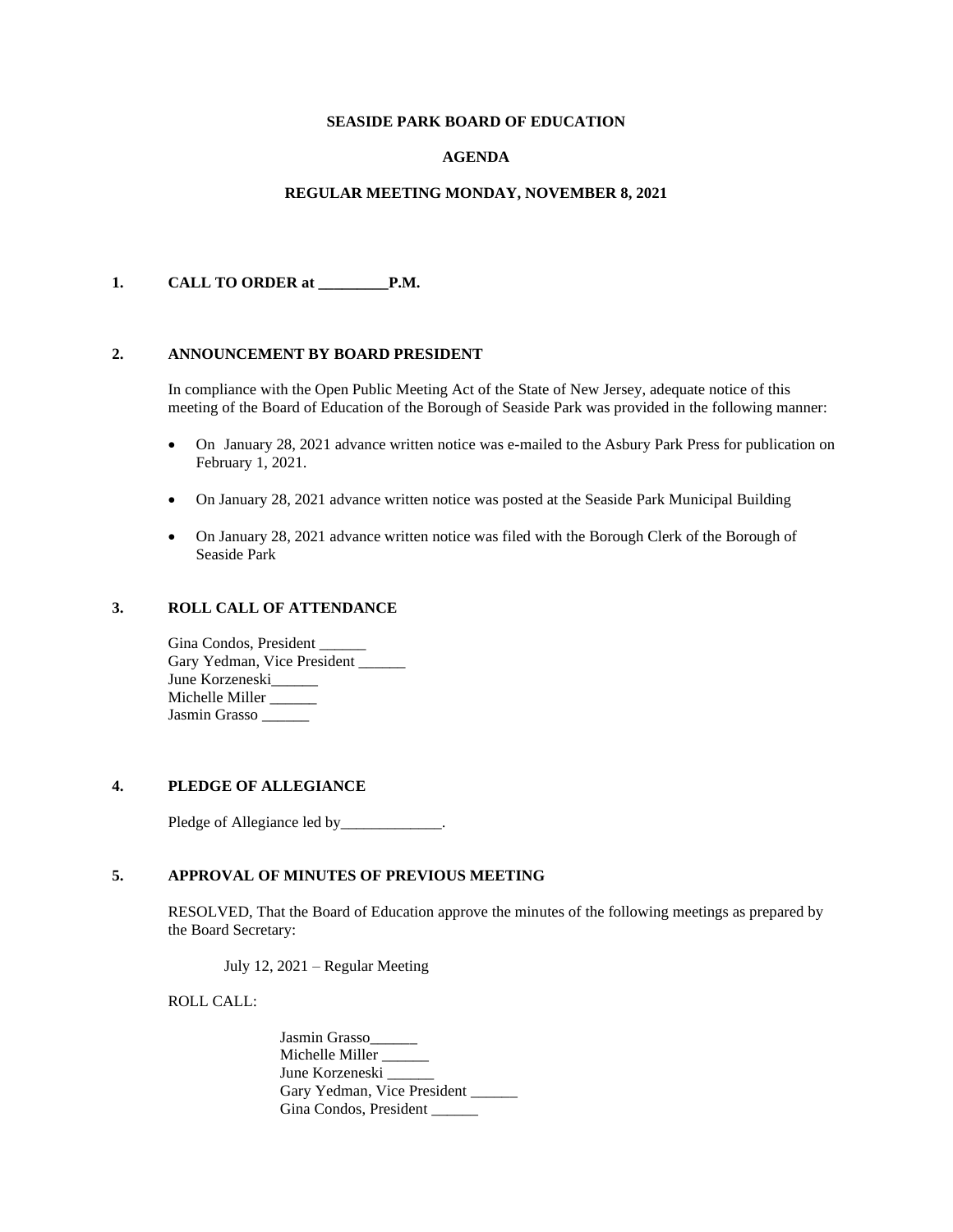## **SEASIDE PARK BOARD OF EDUCATION**

## **AGENDA**

#### **REGULAR MEETING MONDAY, NOVEMBER 8, 2021**

#### **1. CALL TO ORDER at \_\_\_\_\_\_\_\_\_P.M.**

#### **2. ANNOUNCEMENT BY BOARD PRESIDENT**

In compliance with the Open Public Meeting Act of the State of New Jersey, adequate notice of this meeting of the Board of Education of the Borough of Seaside Park was provided in the following manner:

- On January 28, 2021 advance written notice was e-mailed to the Asbury Park Press for publication on February 1, 2021.
- On January 28, 2021 advance written notice was posted at the Seaside Park Municipal Building
- On January 28, 2021 advance written notice was filed with the Borough Clerk of the Borough of Seaside Park

#### **3. ROLL CALL OF ATTENDANCE**

Gina Condos, President Gary Yedman, Vice President \_\_\_\_\_\_ June Korzeneski\_\_\_\_\_\_ Michelle Miller \_\_\_\_\_ Jasmin Grasso \_\_\_\_\_\_

## **4. PLEDGE OF ALLEGIANCE**

Pledge of Allegiance led by\_\_\_\_\_\_\_\_\_\_\_\_.

#### **5. APPROVAL OF MINUTES OF PREVIOUS MEETING**

RESOLVED, That the Board of Education approve the minutes of the following meetings as prepared by the Board Secretary:

July 12, 2021 – Regular Meeting

ROLL CALL:

Jasmin Grasso\_\_\_\_\_\_ Michelle Miller \_\_\_\_\_ June Korzeneski Gary Yedman, Vice President Gina Condos, President \_\_\_\_\_\_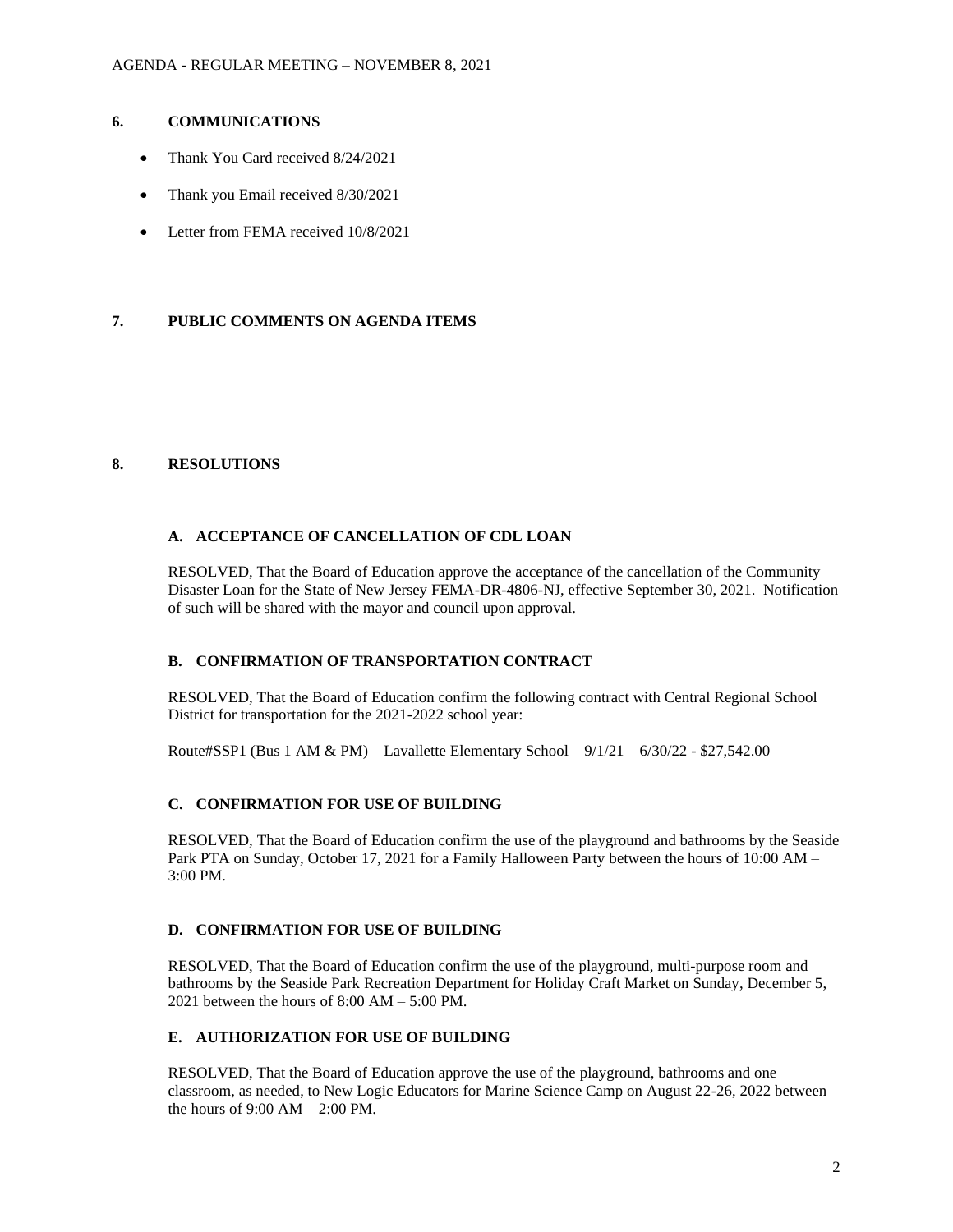## **6. COMMUNICATIONS**

- Thank You Card received 8/24/2021
- Thank you Email received 8/30/2021
- Letter from FEMA received  $10/8/2021$

## **7. PUBLIC COMMENTS ON AGENDA ITEMS**

#### **8. RESOLUTIONS**

### **A. ACCEPTANCE OF CANCELLATION OF CDL LOAN**

RESOLVED, That the Board of Education approve the acceptance of the cancellation of the Community Disaster Loan for the State of New Jersey FEMA-DR-4806-NJ, effective September 30, 2021. Notification of such will be shared with the mayor and council upon approval.

## **B. CONFIRMATION OF TRANSPORTATION CONTRACT**

RESOLVED, That the Board of Education confirm the following contract with Central Regional School District for transportation for the 2021-2022 school year:

Route#SSP1 (Bus 1 AM & PM) – Lavallette Elementary School – 9/1/21 – 6/30/22 - \$27,542.00

# **C. CONFIRMATION FOR USE OF BUILDING**

RESOLVED, That the Board of Education confirm the use of the playground and bathrooms by the Seaside Park PTA on Sunday, October 17, 2021 for a Family Halloween Party between the hours of 10:00 AM – 3:00 PM.

### **D. CONFIRMATION FOR USE OF BUILDING**

RESOLVED, That the Board of Education confirm the use of the playground, multi-purpose room and bathrooms by the Seaside Park Recreation Department for Holiday Craft Market on Sunday, December 5, 2021 between the hours of 8:00 AM – 5:00 PM.

# **E. AUTHORIZATION FOR USE OF BUILDING**

RESOLVED, That the Board of Education approve the use of the playground, bathrooms and one classroom, as needed, to New Logic Educators for Marine Science Camp on August 22-26, 2022 between the hours of 9:00 AM – 2:00 PM.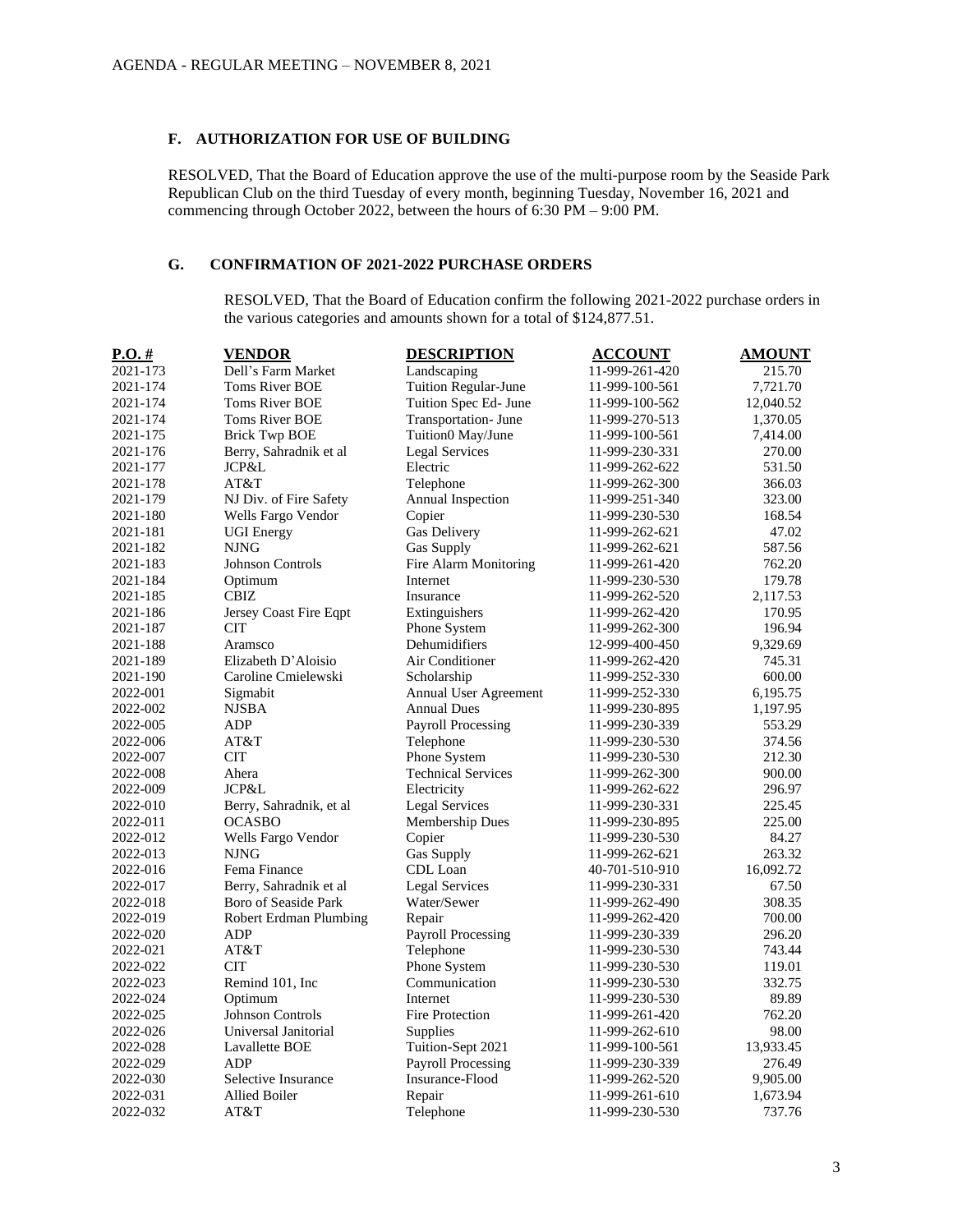### **F. AUTHORIZATION FOR USE OF BUILDING**

RESOLVED, That the Board of Education approve the use of the multi-purpose room by the Seaside Park Republican Club on the third Tuesday of every month, beginning Tuesday, November 16, 2021 and commencing through October 2022, between the hours of 6:30 PM – 9:00 PM.

# **G. CONFIRMATION OF 2021-2022 PURCHASE ORDERS**

RESOLVED, That the Board of Education confirm the following 2021-2022 purchase orders in the various categories and amounts shown for a total of \$124,877.51.

| $P.O.$ # | <b>VENDOR</b>            | <b>DESCRIPTION</b>         | <b>ACCOUNT</b> | <b>AMOUNT</b> |
|----------|--------------------------|----------------------------|----------------|---------------|
| 2021-173 | Dell's Farm Market       | Landscaping                | 11-999-261-420 | 215.70        |
| 2021-174 | <b>Toms River BOE</b>    | Tuition Regular-June       | 11-999-100-561 | 7,721.70      |
| 2021-174 | <b>Toms River BOE</b>    | Tuition Spec Ed- June      | 11-999-100-562 | 12,040.52     |
| 2021-174 | Toms River BOE           | <b>Transportation-June</b> | 11-999-270-513 | 1,370.05      |
| 2021-175 | <b>Brick Twp BOE</b>     | Tuition0 May/June          | 11-999-100-561 | 7,414.00      |
| 2021-176 | Berry, Sahradnik et al   | Legal Services             | 11-999-230-331 | 270.00        |
| 2021-177 | JCP&L                    | Electric                   | 11-999-262-622 | 531.50        |
| 2021-178 | AT&T                     | Telephone                  | 11-999-262-300 | 366.03        |
| 2021-179 | NJ Div. of Fire Safety   | Annual Inspection          | 11-999-251-340 | 323.00        |
| 2021-180 | Wells Fargo Vendor       | Copier                     | 11-999-230-530 | 168.54        |
| 2021-181 | <b>UGI Energy</b>        | Gas Delivery               | 11-999-262-621 | 47.02         |
| 2021-182 | <b>NJNG</b>              | Gas Supply                 | 11-999-262-621 | 587.56        |
| 2021-183 | <b>Johnson Controls</b>  | Fire Alarm Monitoring      | 11-999-261-420 | 762.20        |
| 2021-184 | Optimum                  | Internet                   | 11-999-230-530 | 179.78        |
| 2021-185 | <b>CBIZ</b>              | Insurance                  | 11-999-262-520 | 2,117.53      |
| 2021-186 | Jersey Coast Fire Eqpt   | Extinguishers              | 11-999-262-420 | 170.95        |
| 2021-187 | <b>CIT</b>               | Phone System               | 11-999-262-300 | 196.94        |
| 2021-188 | Aramsco                  | Dehumidifiers              | 12-999-400-450 | 9,329.69      |
| 2021-189 | Elizabeth D'Aloisio      | Air Conditioner            | 11-999-262-420 | 745.31        |
| 2021-190 | Caroline Cmielewski      | Scholarship                | 11-999-252-330 | 600.00        |
| 2022-001 | Sigmabit                 | Annual User Agreement      | 11-999-252-330 | 6,195.75      |
| 2022-002 | <b>NJSBA</b>             | <b>Annual Dues</b>         | 11-999-230-895 | 1,197.95      |
| 2022-005 | ADP                      | <b>Payroll Processing</b>  | 11-999-230-339 | 553.29        |
| 2022-006 | AT&T                     | Telephone                  | 11-999-230-530 | 374.56        |
| 2022-007 | <b>CIT</b>               | Phone System               | 11-999-230-530 | 212.30        |
| 2022-008 | Ahera                    | <b>Technical Services</b>  | 11-999-262-300 | 900.00        |
| 2022-009 | JCP&L                    | Electricity                | 11-999-262-622 | 296.97        |
| 2022-010 | Berry, Sahradnik, et al. | <b>Legal Services</b>      | 11-999-230-331 | 225.45        |
| 2022-011 | <b>OCASBO</b>            | Membership Dues            | 11-999-230-895 | 225.00        |
| 2022-012 | Wells Fargo Vendor       | Copier                     | 11-999-230-530 | 84.27         |
| 2022-013 | <b>NJNG</b>              | Gas Supply                 | 11-999-262-621 | 263.32        |
| 2022-016 | Fema Finance             | CDL Loan                   | 40-701-510-910 | 16,092.72     |
| 2022-017 | Berry, Sahradnik et al   | <b>Legal Services</b>      | 11-999-230-331 | 67.50         |
| 2022-018 | Boro of Seaside Park     | Water/Sewer                | 11-999-262-490 | 308.35        |
| 2022-019 | Robert Erdman Plumbing   | Repair                     | 11-999-262-420 | 700.00        |
| 2022-020 | <b>ADP</b>               | <b>Payroll Processing</b>  | 11-999-230-339 | 296.20        |
| 2022-021 | AT&T                     | Telephone                  | 11-999-230-530 | 743.44        |
| 2022-022 | <b>CIT</b>               | Phone System               | 11-999-230-530 | 119.01        |
| 2022-023 | Remind 101, Inc.         | Communication              | 11-999-230-530 | 332.75        |
| 2022-024 | Optimum                  | Internet                   | 11-999-230-530 | 89.89         |
| 2022-025 | <b>Johnson Controls</b>  | Fire Protection            | 11-999-261-420 | 762.20        |
| 2022-026 | Universal Janitorial     | Supplies                   | 11-999-262-610 | 98.00         |
| 2022-028 | Lavallette BOE           | Tuition-Sept 2021          | 11-999-100-561 | 13,933.45     |
| 2022-029 | ADP                      | <b>Payroll Processing</b>  | 11-999-230-339 | 276.49        |
| 2022-030 | Selective Insurance      | Insurance-Flood            | 11-999-262-520 | 9,905.00      |
| 2022-031 | <b>Allied Boiler</b>     | Repair                     | 11-999-261-610 | 1,673.94      |
| 2022-032 | AT&T                     | Telephone                  | 11-999-230-530 | 737.76        |
|          |                          |                            |                |               |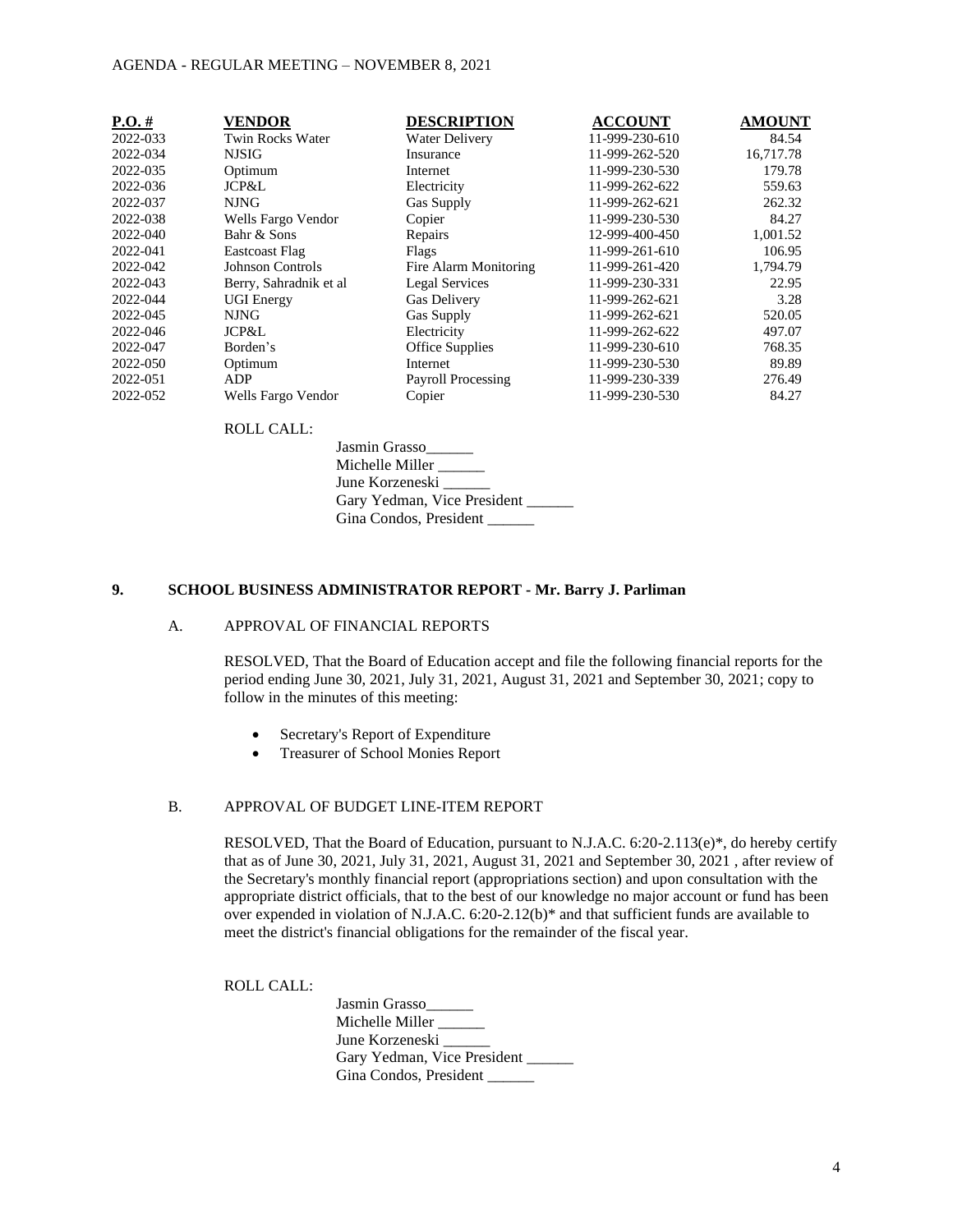#### AGENDA - REGULAR MEETING – NOVEMBER 8, 2021

| $P.O. \#$ | <b>VENDOR</b>          | <b>DESCRIPTION</b>        | <b>ACCOUNT</b> | <b>AMOUNT</b> |
|-----------|------------------------|---------------------------|----------------|---------------|
| 2022-033  | Twin Rocks Water       | <b>Water Delivery</b>     | 11-999-230-610 | 84.54         |
| 2022-034  | <b>NJSIG</b>           | Insurance                 | 11-999-262-520 | 16,717.78     |
| 2022-035  | Optimum                | Internet                  | 11-999-230-530 | 179.78        |
| 2022-036  | JCP&L                  | Electricity               | 11-999-262-622 | 559.63        |
| 2022-037  | <b>NJNG</b>            | Gas Supply                | 11-999-262-621 | 262.32        |
| 2022-038  | Wells Fargo Vendor     | Copier                    | 11-999-230-530 | 84.27         |
| 2022-040  | Bahr & Sons            | Repairs                   | 12-999-400-450 | 1,001.52      |
| 2022-041  | <b>Eastcoast Flag</b>  | Flags                     | 11-999-261-610 | 106.95        |
| 2022-042  | Johnson Controls       | Fire Alarm Monitoring     | 11-999-261-420 | 1,794.79      |
| 2022-043  | Berry, Sahradnik et al | Legal Services            | 11-999-230-331 | 22.95         |
| 2022-044  | <b>UGI Energy</b>      | <b>Gas Delivery</b>       | 11-999-262-621 | 3.28          |
| 2022-045  | NJNG.                  | Gas Supply                | 11-999-262-621 | 520.05        |
| 2022-046  | JCP&L                  | Electricity               | 11-999-262-622 | 497.07        |
| 2022-047  | Borden's               | Office Supplies           | 11-999-230-610 | 768.35        |
| 2022-050  | Optimum                | Internet                  | 11-999-230-530 | 89.89         |
| 2022-051  | <b>ADP</b>             | <b>Payroll Processing</b> | 11-999-230-339 | 276.49        |
| 2022-052  | Wells Fargo Vendor     | Copier                    | 11-999-230-530 | 84.27         |

#### ROLL CALL:

Jasmin Grasso\_\_\_\_\_\_ Michelle Miller \_\_\_\_\_ June Korzeneski Gary Yedman, Vice President \_\_\_\_\_\_ Gina Condos, President \_\_\_\_\_

## **9. SCHOOL BUSINESS ADMINISTRATOR REPORT - Mr. Barry J. Parliman**

# A. APPROVAL OF FINANCIAL REPORTS

RESOLVED, That the Board of Education accept and file the following financial reports for the period ending June 30, 2021, July 31, 2021, August 31, 2021 and September 30, 2021; copy to follow in the minutes of this meeting:

- Secretary's Report of Expenditure
- Treasurer of School Monies Report

#### B. APPROVAL OF BUDGET LINE-ITEM REPORT

RESOLVED, That the Board of Education, pursuant to N.J.A.C. 6:20-2.113(e)\*, do hereby certify that as of June 30, 2021, July 31, 2021, August 31, 2021 and September 30, 2021 , after review of the Secretary's monthly financial report (appropriations section) and upon consultation with the appropriate district officials, that to the best of our knowledge no major account or fund has been over expended in violation of N.J.A.C. 6:20-2.12(b)\* and that sufficient funds are available to meet the district's financial obligations for the remainder of the fiscal year.

ROLL CALL:

Jasmin Grasso Michelle Miller \_\_\_\_\_ June Korzeneski \_\_\_\_\_\_ Gary Yedman, Vice President \_\_\_\_\_\_ Gina Condos, President \_\_\_\_\_\_